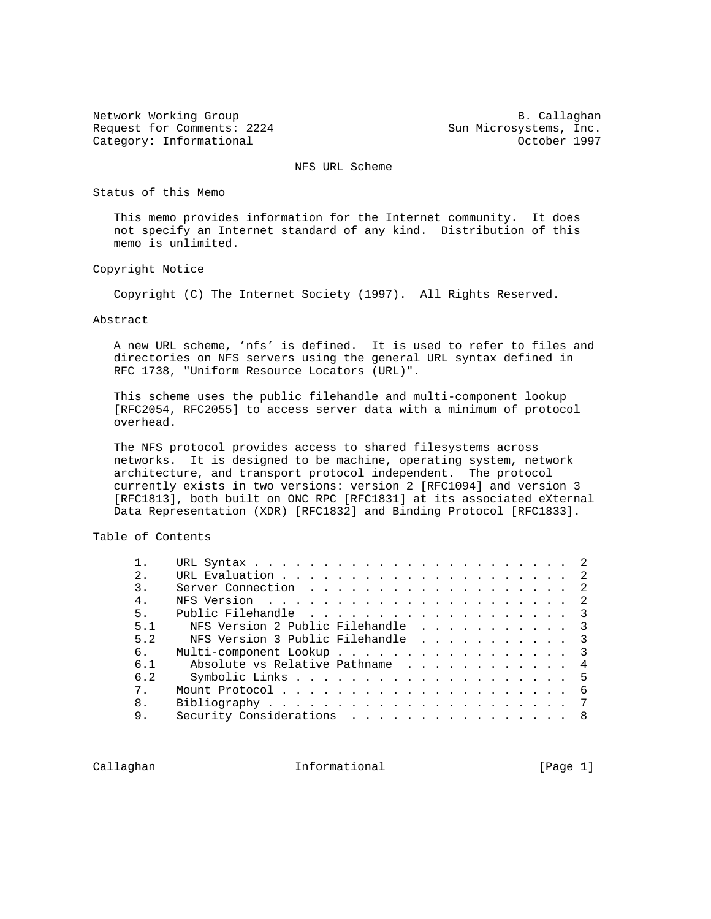Request for Comments: 2224 Sun Microsystems, Inc. Category: Informational and Category: Category: Informational and Category: Category: Category: Category: Category: Category: Category: Category: Category: Category: Category: Category: Category: Category: Category: Catego

Network Working Group and B. Callaghan

NFS URL Scheme

Status of this Memo

 This memo provides information for the Internet community. It does not specify an Internet standard of any kind. Distribution of this memo is unlimited.

Copyright Notice

Copyright (C) The Internet Society (1997). All Rights Reserved.

### Abstract

 A new URL scheme, 'nfs' is defined. It is used to refer to files and directories on NFS servers using the general URL syntax defined in RFC 1738, "Uniform Resource Locators (URL)".

 This scheme uses the public filehandle and multi-component lookup [RFC2054, RFC2055] to access server data with a minimum of protocol overhead.

 The NFS protocol provides access to shared filesystems across networks. It is designed to be machine, operating system, network architecture, and transport protocol independent. The protocol currently exists in two versions: version 2 [RFC1094] and version 3 [RFC1813], both built on ONC RPC [RFC1831] at its associated eXternal Data Representation (XDR) [RFC1832] and Binding Protocol [RFC1833].

Table of Contents

| 2.               |                                   |  |
|------------------|-----------------------------------|--|
| $\overline{3}$ . | Server Connection 2               |  |
| 4 <sub>1</sub>   |                                   |  |
| 5.               | Public Filehandle 3               |  |
| 5.1              | NFS Version 2 Public Filehandle 3 |  |
| 5.2              | NFS Version 3 Public Filehandle 3 |  |
| б.               | Multi-component Lookup 3          |  |
| 6 1              | Absolute vs Relative Pathname 4   |  |
| 6.2              |                                   |  |
| 7 <sub>1</sub>   |                                   |  |
| 8.               |                                   |  |
| 9.               | Security Considerations<br>- 8    |  |
|                  |                                   |  |

Callaghan **Informational** Informational [Page 1]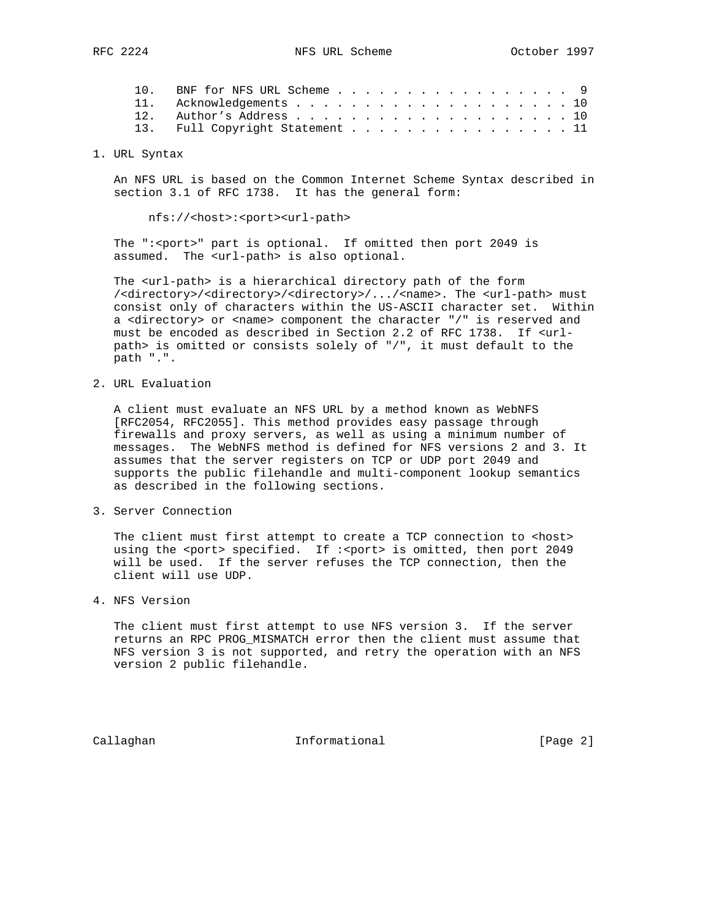| 10. BNF for NFS URL Scheme 9    |  |
|---------------------------------|--|
| 11. Acknowledgements 10         |  |
|                                 |  |
| 13. Full Copyright Statement 11 |  |

1. URL Syntax

 An NFS URL is based on the Common Internet Scheme Syntax described in section 3.1 of RFC 1738. It has the general form:

nfs://<host>:<port><url-path>

The ":< port>" part is optional. If omitted then port 2049 is assumed. The <url-path> is also optional.

The <url-path> is a hierarchical directory path of the form /<directory>/<directory>/<directory>/.../<name>. The <url-path> must consist only of characters within the US-ASCII character set. Within a <directory> or <name> component the character "/" is reserved and must be encoded as described in Section 2.2 of RFC 1738. If <url path> is omitted or consists solely of "/", it must default to the path ".".

2. URL Evaluation

 A client must evaluate an NFS URL by a method known as WebNFS [RFC2054, RFC2055]. This method provides easy passage through firewalls and proxy servers, as well as using a minimum number of messages. The WebNFS method is defined for NFS versions 2 and 3. It assumes that the server registers on TCP or UDP port 2049 and supports the public filehandle and multi-component lookup semantics as described in the following sections.

3. Server Connection

The client must first attempt to create a TCP connection to <host> using the <port> specified. If :<port> is omitted, then port 2049 will be used. If the server refuses the TCP connection, then the client will use UDP.

4. NFS Version

 The client must first attempt to use NFS version 3. If the server returns an RPC PROG\_MISMATCH error then the client must assume that NFS version 3 is not supported, and retry the operation with an NFS version 2 public filehandle.

Callaghan Informational [Page 2]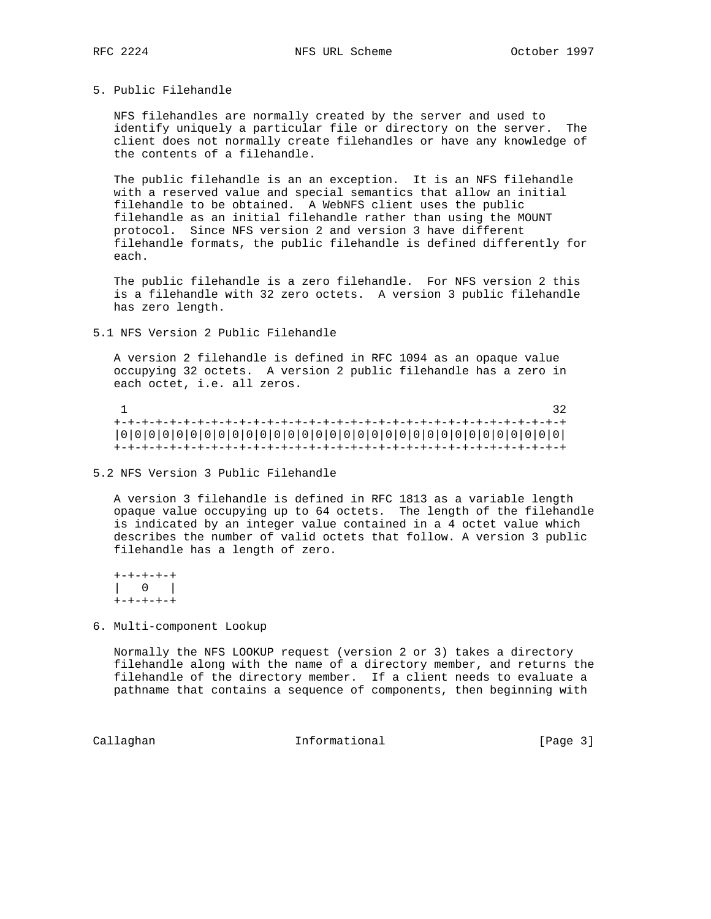### 5. Public Filehandle

 NFS filehandles are normally created by the server and used to identify uniquely a particular file or directory on the server. The client does not normally create filehandles or have any knowledge of the contents of a filehandle.

 The public filehandle is an an exception. It is an NFS filehandle with a reserved value and special semantics that allow an initial filehandle to be obtained. A WebNFS client uses the public filehandle as an initial filehandle rather than using the MOUNT protocol. Since NFS version 2 and version 3 have different filehandle formats, the public filehandle is defined differently for each.

 The public filehandle is a zero filehandle. For NFS version 2 this is a filehandle with 32 zero octets. A version 3 public filehandle has zero length.

5.1 NFS Version 2 Public Filehandle

 A version 2 filehandle is defined in RFC 1094 as an opaque value occupying 32 octets. A version 2 public filehandle has a zero in each octet, i.e. all zeros.

 $1$  32 +-+-+-+-+-+-+-+-+-+-+-+-+-+-+-+-+-+-+-+-+-+-+-+-+-+-+-+-+-+-+-+-+ |0|0|0|0|0|0|0|0|0|0|0|0|0|0|0|0|0|0|0|0|0|0|0|0|0|0|0|0|0|0|0|0| +-+-+-+-+-+-+-+-+-+-+-+-+-+-+-+-+-+-+-+-+-+-+-+-+-+-+-+-+-+-+-+-+

5.2 NFS Version 3 Public Filehandle

 A version 3 filehandle is defined in RFC 1813 as a variable length opaque value occupying up to 64 octets. The length of the filehandle is indicated by an integer value contained in a 4 octet value which describes the number of valid octets that follow. A version 3 public filehandle has a length of zero.

 +-+-+-+-+ | 0 | +-+-+-+-+

6. Multi-component Lookup

 Normally the NFS LOOKUP request (version 2 or 3) takes a directory filehandle along with the name of a directory member, and returns the filehandle of the directory member. If a client needs to evaluate a pathname that contains a sequence of components, then beginning with

Callaghan Informational [Page 3]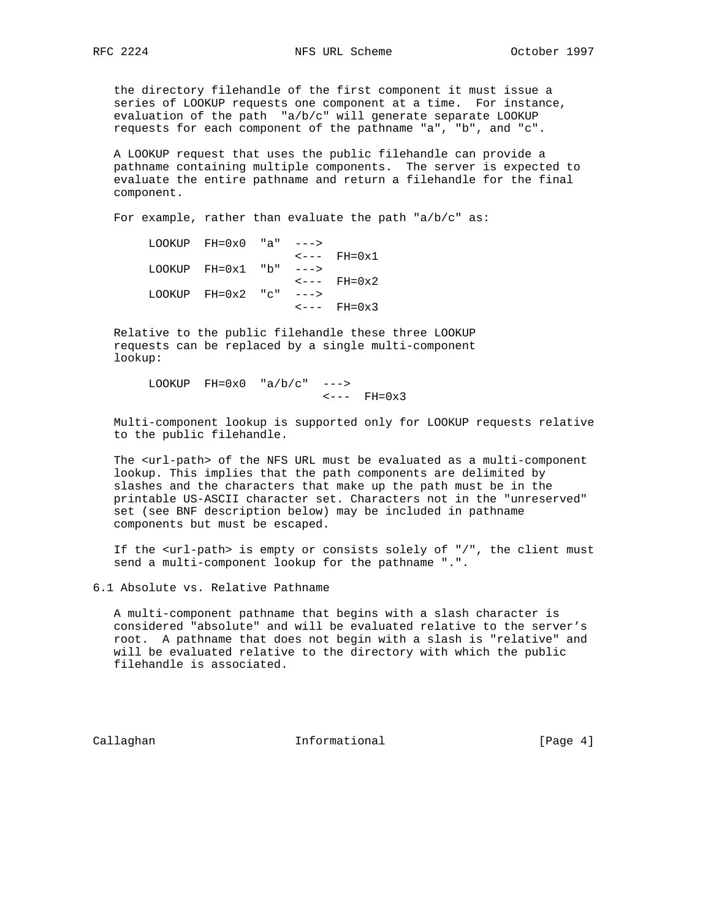the directory filehandle of the first component it must issue a series of LOOKUP requests one component at a time. For instance, evaluation of the path "a/b/c" will generate separate LOOKUP requests for each component of the pathname "a", "b", and "c".

 A LOOKUP request that uses the public filehandle can provide a pathname containing multiple components. The server is expected to evaluate the entire pathname and return a filehandle for the final component.

For example, rather than evaluate the path "a/b/c" as:

|                                  |  | LOOKUP $FH=0x0$ "a" $---$ > |  |
|----------------------------------|--|-----------------------------|--|
| $\leftarrow \leftarrow -$ FH=0x1 |  |                             |  |
|                                  |  | LOOKUP $FH=0x1$ "b" $---$ > |  |
| $\leftarrow \leftarrow -$ FH=0x2 |  |                             |  |
|                                  |  | LOOKUP $FH=0x2$ "c" $---$ > |  |
| $\leftarrow \leftarrow -$ FH=0x3 |  |                             |  |

 Relative to the public filehandle these three LOOKUP requests can be replaced by a single multi-component lookup:

LOOKUP  $FH=0x0$  "a/b/c" --->  $\leftarrow---$  FH=0x3

 Multi-component lookup is supported only for LOOKUP requests relative to the public filehandle.

 The <url-path> of the NFS URL must be evaluated as a multi-component lookup. This implies that the path components are delimited by slashes and the characters that make up the path must be in the printable US-ASCII character set. Characters not in the "unreserved" set (see BNF description below) may be included in pathname components but must be escaped.

 If the <url-path> is empty or consists solely of "/", the client must send a multi-component lookup for the pathname ".".

6.1 Absolute vs. Relative Pathname

 A multi-component pathname that begins with a slash character is considered "absolute" and will be evaluated relative to the server's root. A pathname that does not begin with a slash is "relative" and will be evaluated relative to the directory with which the public filehandle is associated.

Callaghan **Informational** Informational [Page 4]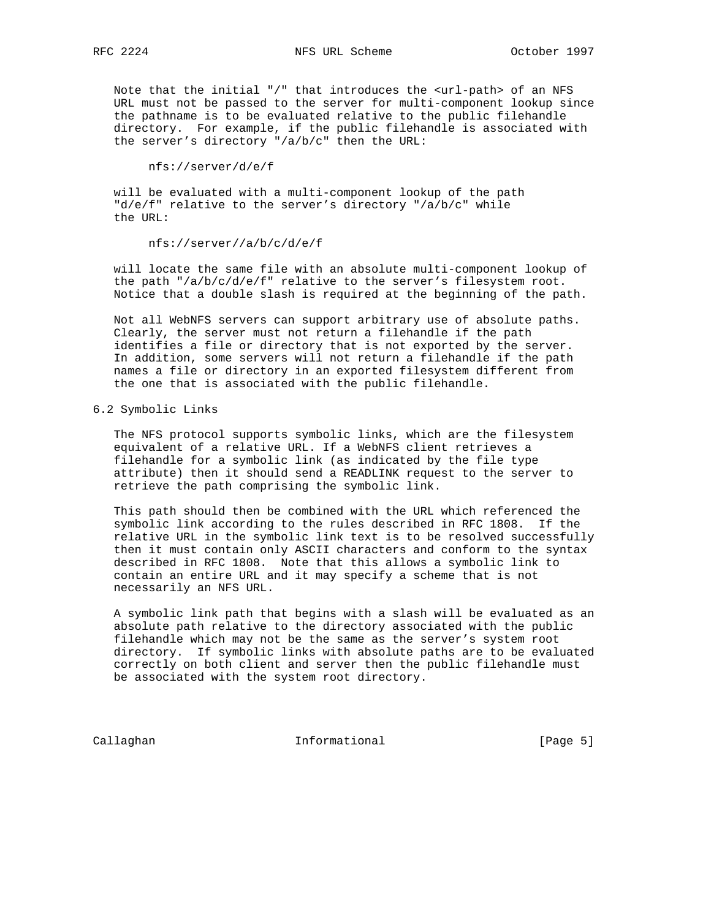Note that the initial "/" that introduces the <url-path> of an NFS URL must not be passed to the server for multi-component lookup since the pathname is to be evaluated relative to the public filehandle directory. For example, if the public filehandle is associated with the server's directory "/a/b/c" then the URL:

nfs://server/d/e/f

 will be evaluated with a multi-component lookup of the path "d/e/f" relative to the server's directory "/a/b/c" while the URL:

nfs://server//a/b/c/d/e/f

 will locate the same file with an absolute multi-component lookup of the path "/a/b/c/d/e/f" relative to the server's filesystem root. Notice that a double slash is required at the beginning of the path.

 Not all WebNFS servers can support arbitrary use of absolute paths. Clearly, the server must not return a filehandle if the path identifies a file or directory that is not exported by the server. In addition, some servers will not return a filehandle if the path names a file or directory in an exported filesystem different from the one that is associated with the public filehandle.

6.2 Symbolic Links

 The NFS protocol supports symbolic links, which are the filesystem equivalent of a relative URL. If a WebNFS client retrieves a filehandle for a symbolic link (as indicated by the file type attribute) then it should send a READLINK request to the server to retrieve the path comprising the symbolic link.

 This path should then be combined with the URL which referenced the symbolic link according to the rules described in RFC 1808. If the relative URL in the symbolic link text is to be resolved successfully then it must contain only ASCII characters and conform to the syntax described in RFC 1808. Note that this allows a symbolic link to contain an entire URL and it may specify a scheme that is not necessarily an NFS URL.

 A symbolic link path that begins with a slash will be evaluated as an absolute path relative to the directory associated with the public filehandle which may not be the same as the server's system root directory. If symbolic links with absolute paths are to be evaluated correctly on both client and server then the public filehandle must be associated with the system root directory.

Callaghan Informational [Page 5]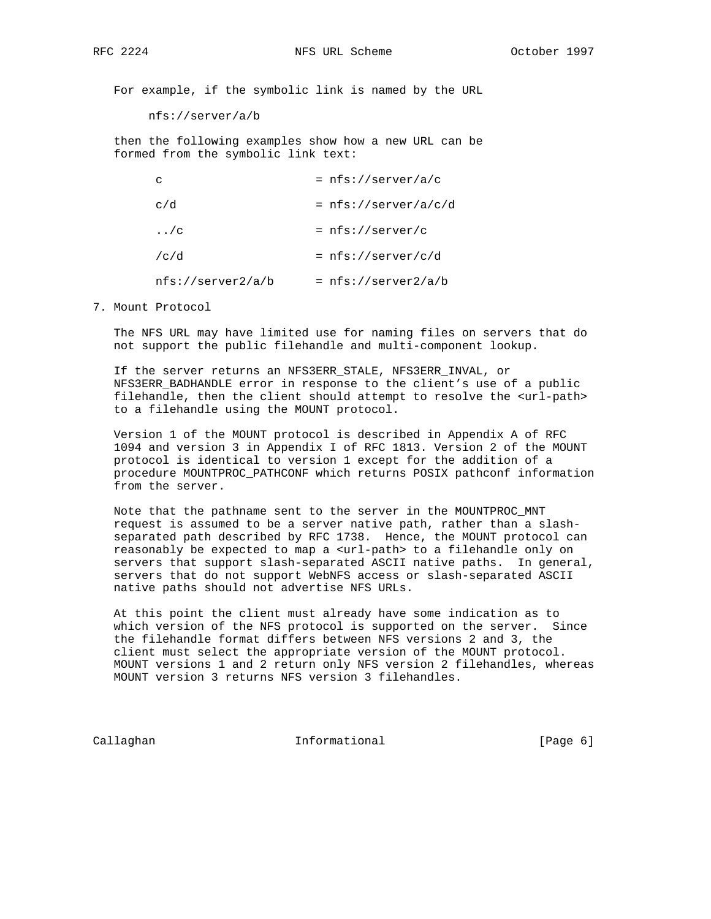For example, if the symbolic link is named by the URL

nfs://server/a/b

 then the following examples show how a new URL can be formed from the symbolic link text:

| C                    |                   | $=$ nfs://server/a/c    |
|----------------------|-------------------|-------------------------|
| c/d                  |                   | $= nfs://server/a/c/d)$ |
| $\ldots$ / $\subset$ |                   | $= nfs://server/c$      |
| /c/d                 |                   | $= nfs://server/c/d$    |
|                      | nfs://server2/a/b | $= nfs://server2/a/b$   |

7. Mount Protocol

 The NFS URL may have limited use for naming files on servers that do not support the public filehandle and multi-component lookup.

 If the server returns an NFS3ERR\_STALE, NFS3ERR\_INVAL, or NFS3ERR\_BADHANDLE error in response to the client's use of a public filehandle, then the client should attempt to resolve the <url-path> to a filehandle using the MOUNT protocol.

 Version 1 of the MOUNT protocol is described in Appendix A of RFC 1094 and version 3 in Appendix I of RFC 1813. Version 2 of the MOUNT protocol is identical to version 1 except for the addition of a procedure MOUNTPROC\_PATHCONF which returns POSIX pathconf information from the server.

 Note that the pathname sent to the server in the MOUNTPROC\_MNT request is assumed to be a server native path, rather than a slash separated path described by RFC 1738. Hence, the MOUNT protocol can reasonably be expected to map a <url-path> to a filehandle only on servers that support slash-separated ASCII native paths. In general, servers that do not support WebNFS access or slash-separated ASCII native paths should not advertise NFS URLs.

 At this point the client must already have some indication as to which version of the NFS protocol is supported on the server. Since the filehandle format differs between NFS versions 2 and 3, the client must select the appropriate version of the MOUNT protocol. MOUNT versions 1 and 2 return only NFS version 2 filehandles, whereas MOUNT version 3 returns NFS version 3 filehandles.

Callaghan Informational [Page 6]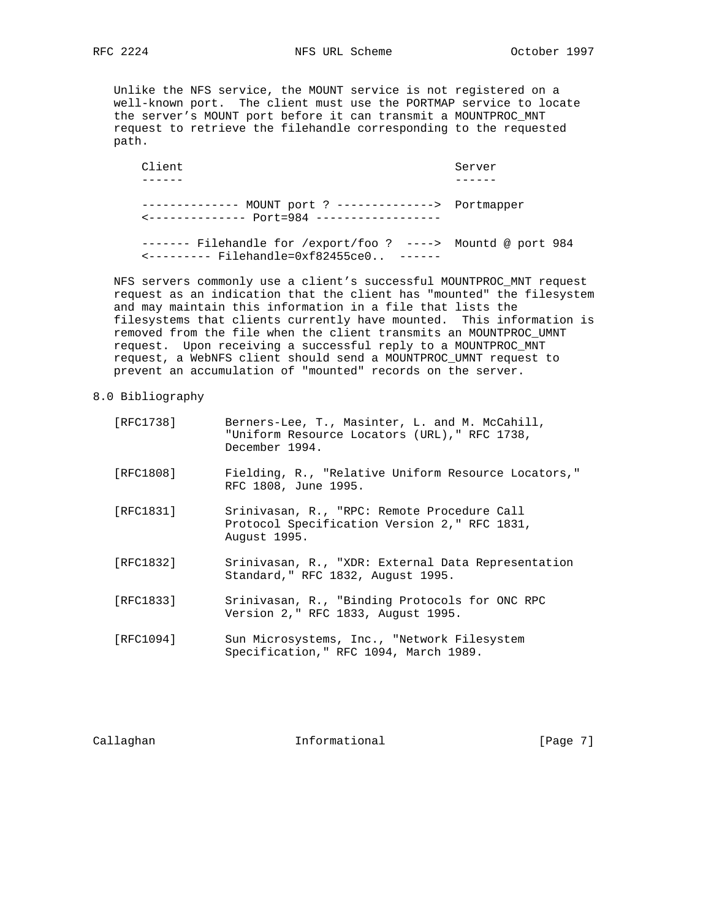RFC 2224 NFS URL Scheme October 1997

 Unlike the NFS service, the MOUNT service is not registered on a well-known port. The client must use the PORTMAP service to locate the server's MOUNT port before it can transmit a MOUNTPROC\_MNT request to retrieve the filehandle corresponding to the requested path.

Client Server ------ ------ -------------- MOUNT port ? --------------> Portmapper <-------------- Port=984 ------------------ ------- Filehandle for /export/foo ? ----> Mountd @ port 984 <--------- Filehandle=0xf82455ce0.. ------

 NFS servers commonly use a client's successful MOUNTPROC\_MNT request request as an indication that the client has "mounted" the filesystem and may maintain this information in a file that lists the filesystems that clients currently have mounted. This information is removed from the file when the client transmits an MOUNTPROC\_UMNT request. Upon receiving a successful reply to a MOUNTPROC\_MNT request, a WebNFS client should send a MOUNTPROC\_UMNT request to prevent an accumulation of "mounted" records on the server.

## 8.0 Bibliography

| [RFC1738] | Berners-Lee, T., Masinter, L. and M. McCahill,<br>"Uniform Resource Locators (URL)," RFC 1738,<br>December 1994. |
|-----------|------------------------------------------------------------------------------------------------------------------|
| [RFC1808] | Fielding, R., "Relative Uniform Resource Locators,"<br>RFC 1808, June 1995.                                      |
| [RFC1831] | Srinivasan, R., "RPC: Remote Procedure Call<br>Protocol Specification Version 2," RFC 1831,<br>August 1995.      |
| [RFC1832] | Srinivasan, R., "XDR: External Data Representation<br>Standard, " RFC 1832, August 1995.                         |
| [RFC1833] | Srinivasan, R., "Binding Protocols for ONC RPC<br>Version 2," RFC 1833, August 1995.                             |
| [RFC1094] | Sun Microsystems, Inc., "Network Filesystem<br>Specification," RFC 1094, March 1989.                             |

Callaghan **Informational** Informational [Page 7]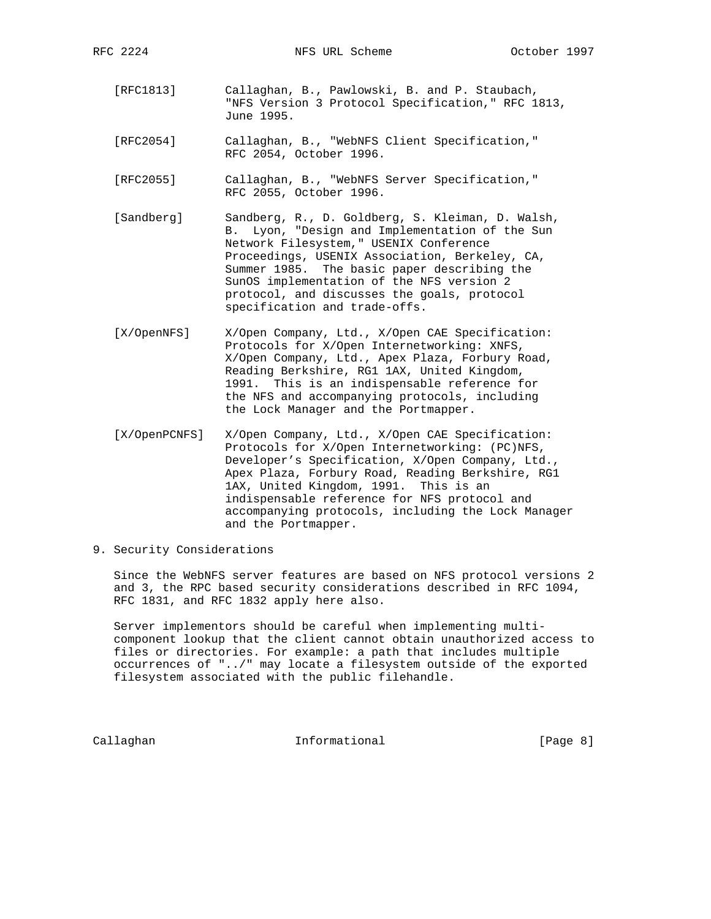- [RFC1813] Callaghan, B., Pawlowski, B. and P. Staubach, "NFS Version 3 Protocol Specification," RFC 1813, June 1995.
- [RFC2054] Callaghan, B., "WebNFS Client Specification," RFC 2054, October 1996.
- [RFC2055] Callaghan, B., "WebNFS Server Specification," RFC 2055, October 1996.
- [Sandberg] Sandberg, R., D. Goldberg, S. Kleiman, D. Walsh, B. Lyon, "Design and Implementation of the Sun Network Filesystem," USENIX Conference Proceedings, USENIX Association, Berkeley, CA, Summer 1985. The basic paper describing the SunOS implementation of the NFS version 2 protocol, and discusses the goals, protocol specification and trade-offs.
- [X/OpenNFS] X/Open Company, Ltd., X/Open CAE Specification: Protocols for X/Open Internetworking: XNFS, X/Open Company, Ltd., Apex Plaza, Forbury Road, Reading Berkshire, RG1 1AX, United Kingdom, 1991. This is an indispensable reference for the NFS and accompanying protocols, including the Lock Manager and the Portmapper.
- [X/OpenPCNFS] X/Open Company, Ltd., X/Open CAE Specification: Protocols for X/Open Internetworking: (PC)NFS, Developer's Specification, X/Open Company, Ltd., Apex Plaza, Forbury Road, Reading Berkshire, RG1 1AX, United Kingdom, 1991. This is an indispensable reference for NFS protocol and accompanying protocols, including the Lock Manager and the Portmapper.
- 9. Security Considerations

 Since the WebNFS server features are based on NFS protocol versions 2 and 3, the RPC based security considerations described in RFC 1094, RFC 1831, and RFC 1832 apply here also.

 Server implementors should be careful when implementing multi component lookup that the client cannot obtain unauthorized access to files or directories. For example: a path that includes multiple occurrences of "../" may locate a filesystem outside of the exported filesystem associated with the public filehandle.

Callaghan **Informational** Informational [Page 8]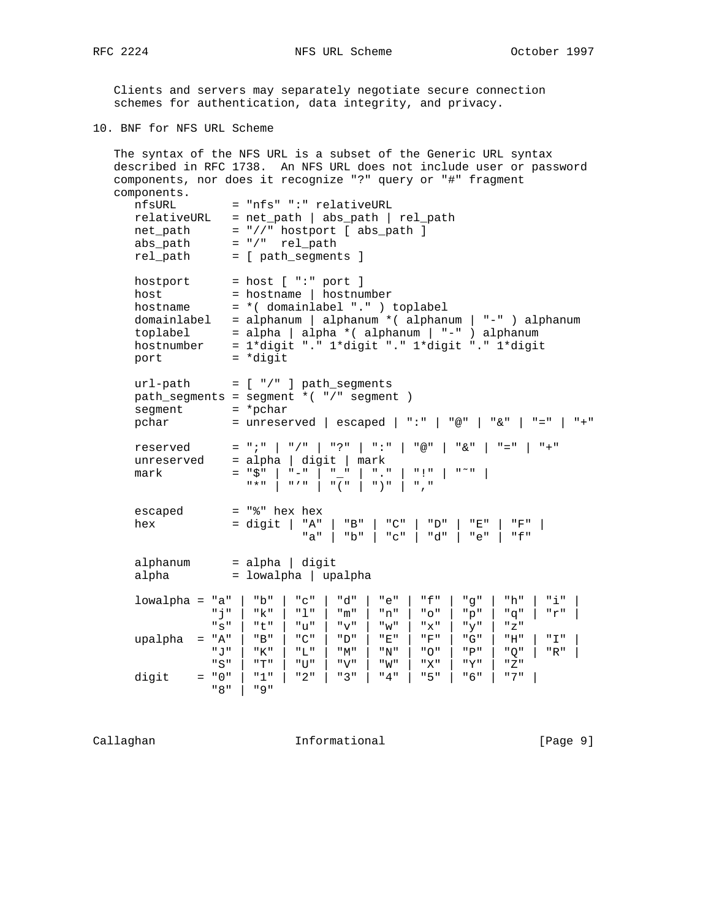Clients and servers may separately negotiate secure connection schemes for authentication, data integrity, and privacy.

10. BNF for NFS URL Scheme

```
 The syntax of the NFS URL is a subset of the Generic URL syntax
   described in RFC 1738. An NFS URL does not include user or password
   components, nor does it recognize "?" query or "#" fragment
   components.
     nfsURL = "nfs" ":" relativeURL
     relativeURL = net_path | abs_path | rel_path
 net_path = "//" hostport [ abs_path ]
 abs_path = "/" rel_path
 rel_path = [ path_segments ]
hostport = host [ ":" port ]
host = hostname | hostnumber
 hostname = *( domainlabel "." ) toplabel
     domainlabel = alphanum | alphanum *( alphanum | "-" ) alphanum
 toplabel = alpha | alpha *( alphanum | "-" ) alphanum
 hostnumber = 1*digit "." 1*digit "." 1*digit "." 1*digit
port = *digit
    url-path = [ " / " ] path_segments path_segments = segment *( "/" segment )
segment = *pchar
 pchar = unreserved | escaped | ":" | "@" | "&" | "=" | "+"
 reserved = ";" | "/" | "?" | ":" | "@" | "&" | "=" | "+"
 unreserved = alpha | digit | mark
 mark = "$" | "-" | "_" | "." | "!" | "˜" |
 "*" | "'" | "(" | ")" | ","
     escaped = "%" hex hex
 hex = digit | "A" | "B" | "C" | "D" | "E" | "F" |
 "a" | "b" | "c" | "d" | "e" | "f"
 alphanum = alpha | digit
 alpha = lowalpha | upalpha
 lowalpha = "a" | "b" | "c" | "d" | "e" | "f" | "g" | "h" | "i" |
 "j" | "k" | "l" | "m" | "n" | "o" | "p" | "q" | "r" |
              \overline{\mathbf{S}}" | "t" | "u" | "v" | "w" | "x" | "y" | "z"
 upalpha = "A" | "B" | "C" | "D" | "E" | "F" | "G" | "H" | "I" |
 "J" | "K" | "L" | "M" | "N" | "O" | "P" | "Q" | "R" |
               "S" | "T" | "U" | "V" | "W" | "X" | "Y" | "Z"
    digit = "0" | "1" | "2" | "3" | "4" | "5" | "6" | "7" |
              "8" | "9"
```
Callaghan Informational [Page 9]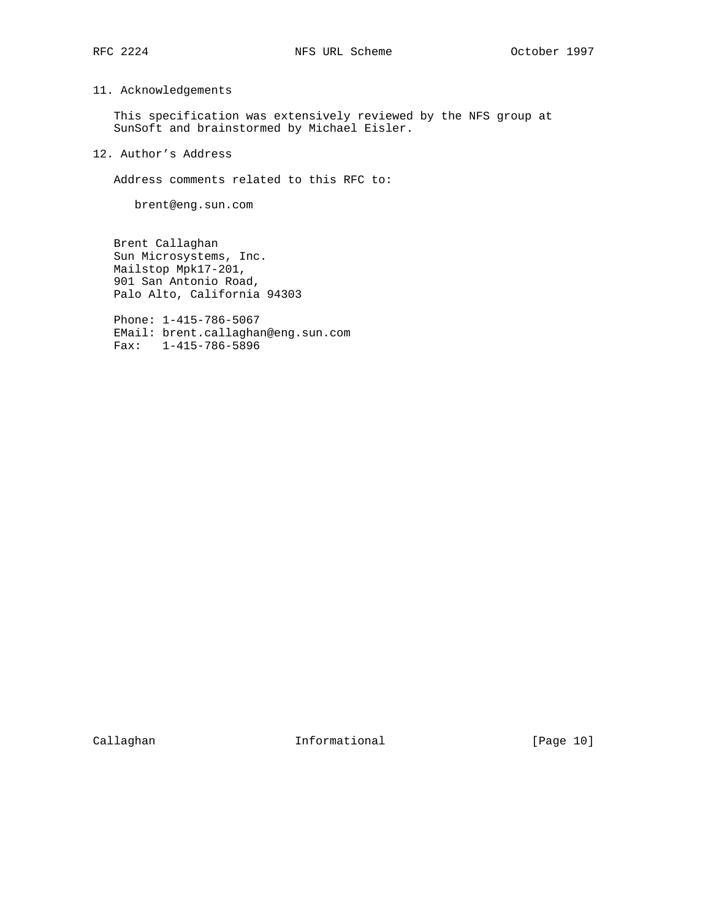# 11. Acknowledgements

 This specification was extensively reviewed by the NFS group at SunSoft and brainstormed by Michael Eisler.

12. Author's Address

Address comments related to this RFC to:

brent@eng.sun.com

 Brent Callaghan Sun Microsystems, Inc. Mailstop Mpk17-201, 901 San Antonio Road, Palo Alto, California 94303

 Phone: 1-415-786-5067 EMail: brent.callaghan@eng.sun.com Fax: 1-415-786-5896

Callaghan Informational [Page 10]